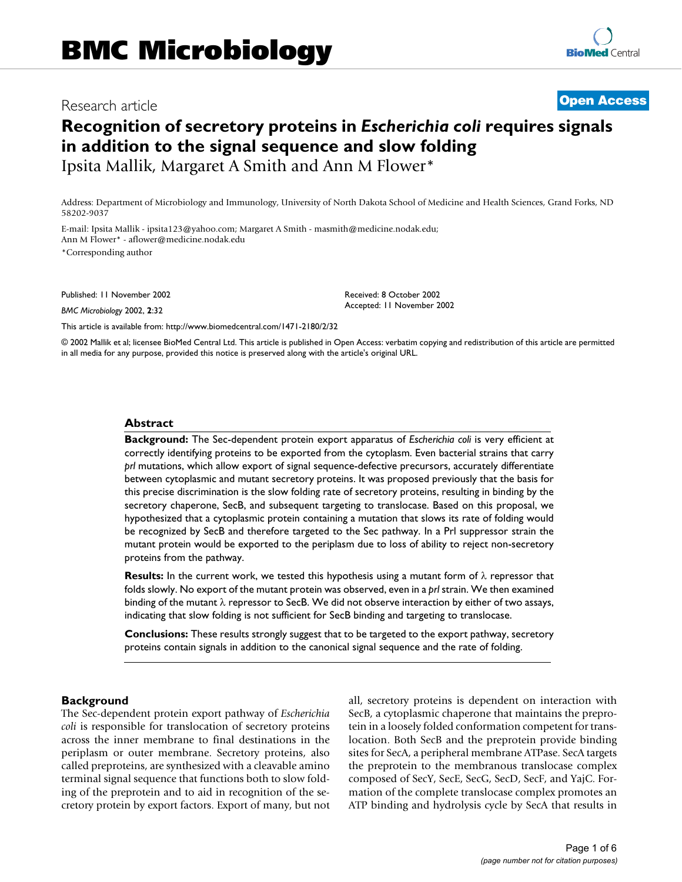# Research article **Contract Contract Contract Contract Contract Contract Contract Contract Contract Contract Contract Contract Contract Contract Contract Contract Contract Contract Contract Contract Contract Contract Contra**

# **Recognition of secretory proteins in** *Escherichia coli* **requires signals in addition to the signal sequence and slow folding** Ipsita Mallik, Margaret A Smith and Ann M Flower\*

Address: Department of Microbiology and Immunology, University of North Dakota School of Medicine and Health Sciences, Grand Forks, ND 58202-9037

E-mail: Ipsita Mallik - ipsita123@yahoo.com; Margaret A Smith - masmith@medicine.nodak.edu; Ann M Flower\* - aflower@medicine.nodak.edu \*Corresponding author

Published: 11 November 2002

*BMC Microbiology* 2002, **2**:32

[This article is available from: http://www.biomedcentral.com/1471-2180/2/32](http://www.biomedcentral.com/1471-2180/2/32)

© 2002 Mallik et al; licensee BioMed Central Ltd. This article is published in Open Access: verbatim copying and redistribution of this article are permitted in all media for any purpose, provided this notice is preserved along with the article's original URL.

Received: 8 October 2002 Accepted: 11 November 2002

#### **Abstract**

**Background:** The Sec-dependent protein export apparatus of *Escherichia coli* is very efficient at correctly identifying proteins to be exported from the cytoplasm. Even bacterial strains that carry *prl* mutations, which allow export of signal sequence-defective precursors, accurately differentiate between cytoplasmic and mutant secretory proteins. It was proposed previously that the basis for this precise discrimination is the slow folding rate of secretory proteins, resulting in binding by the secretory chaperone, SecB, and subsequent targeting to translocase. Based on this proposal, we hypothesized that a cytoplasmic protein containing a mutation that slows its rate of folding would be recognized by SecB and therefore targeted to the Sec pathway. In a Prl suppressor strain the mutant protein would be exported to the periplasm due to loss of ability to reject non-secretory proteins from the pathway.

**Results:** In the current work, we tested this hypothesis using a mutant form of λ repressor that folds slowly. No export of the mutant protein was observed, even in a *prl* strain. We then examined binding of the mutant λ repressor to SecB. We did not observe interaction by either of two assays, indicating that slow folding is not sufficient for SecB binding and targeting to translocase.

**Conclusions:** These results strongly suggest that to be targeted to the export pathway, secretory proteins contain signals in addition to the canonical signal sequence and the rate of folding.

#### **Background**

The Sec-dependent protein export pathway of *Escherichia coli* is responsible for translocation of secretory proteins across the inner membrane to final destinations in the periplasm or outer membrane. Secretory proteins, also called preproteins, are synthesized with a cleavable amino terminal signal sequence that functions both to slow folding of the preprotein and to aid in recognition of the secretory protein by export factors. Export of many, but not all, secretory proteins is dependent on interaction with SecB, a cytoplasmic chaperone that maintains the preprotein in a loosely folded conformation competent for translocation. Both SecB and the preprotein provide binding sites for SecA, a peripheral membrane ATPase. SecA targets the preprotein to the membranous translocase complex composed of SecY, SecE, SecG, SecD, SecF, and YajC. Formation of the complete translocase complex promotes an ATP binding and hydrolysis cycle by SecA that results in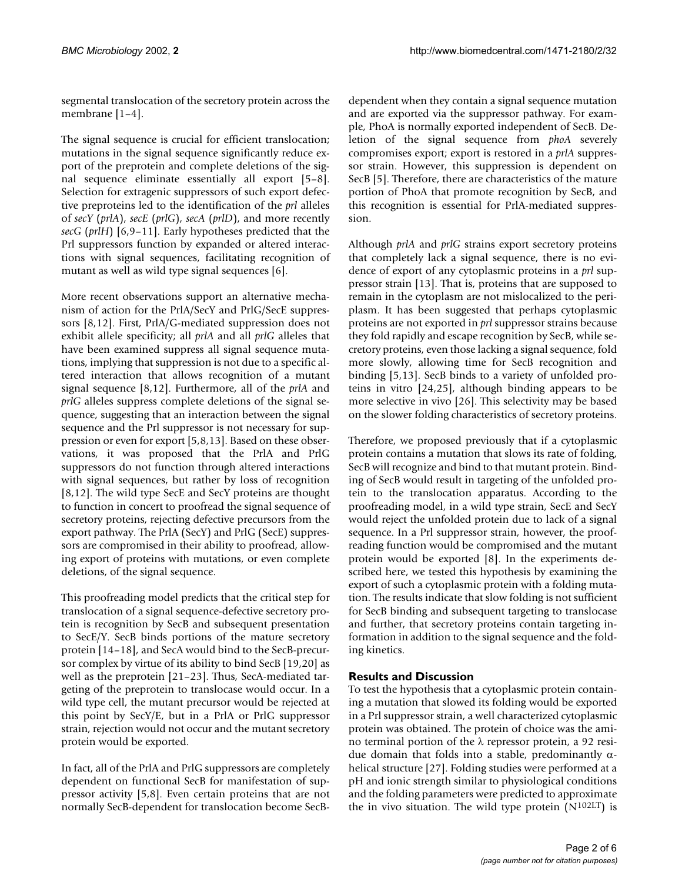segmental translocation of the secretory protein across the membrane [1–4].

The signal sequence is crucial for efficient translocation; mutations in the signal sequence significantly reduce export of the preprotein and complete deletions of the signal sequence eliminate essentially all export [5–8]. Selection for extragenic suppressors of such export defective preproteins led to the identification of the *prl* alleles of *secY* (*prlA*), *secE* (*prlG*), *secA* (*prlD*), and more recently *secG* (*prlH*) [6,9–11]. Early hypotheses predicted that the Prl suppressors function by expanded or altered interactions with signal sequences, facilitating recognition of mutant as well as wild type signal sequences [6].

More recent observations support an alternative mechanism of action for the PrlA/SecY and PrlG/SecE suppressors [8,12]. First, PrlA/G-mediated suppression does not exhibit allele specificity; all *prlA* and all *prlG* alleles that have been examined suppress all signal sequence mutations, implying that suppression is not due to a specific altered interaction that allows recognition of a mutant signal sequence [8,12]. Furthermore, all of the *prlA* and *prlG* alleles suppress complete deletions of the signal sequence, suggesting that an interaction between the signal sequence and the Prl suppressor is not necessary for suppression or even for export [5,8,13]. Based on these observations, it was proposed that the PrlA and PrlG suppressors do not function through altered interactions with signal sequences, but rather by loss of recognition [8,12]. The wild type SecE and SecY proteins are thought to function in concert to proofread the signal sequence of secretory proteins, rejecting defective precursors from the export pathway. The PrlA (SecY) and PrlG (SecE) suppressors are compromised in their ability to proofread, allowing export of proteins with mutations, or even complete deletions, of the signal sequence.

This proofreading model predicts that the critical step for translocation of a signal sequence-defective secretory protein is recognition by SecB and subsequent presentation to SecE/Y. SecB binds portions of the mature secretory protein [14–18], and SecA would bind to the SecB-precursor complex by virtue of its ability to bind SecB [19,20] as well as the preprotein [21–23]. Thus, SecA-mediated targeting of the preprotein to translocase would occur. In a wild type cell, the mutant precursor would be rejected at this point by SecY/E, but in a PrlA or PrlG suppressor strain, rejection would not occur and the mutant secretory protein would be exported.

In fact, all of the PrlA and PrlG suppressors are completely dependent on functional SecB for manifestation of suppressor activity [5,8]. Even certain proteins that are not normally SecB-dependent for translocation become SecB-

dependent when they contain a signal sequence mutation and are exported via the suppressor pathway. For example, PhoA is normally exported independent of SecB. Deletion of the signal sequence from *phoA* severely compromises export; export is restored in a *prlA* suppressor strain. However, this suppression is dependent on SecB [5]. Therefore, there are characteristics of the mature portion of PhoA that promote recognition by SecB, and this recognition is essential for PrlA-mediated suppression.

Although *prlA* and *prlG* strains export secretory proteins that completely lack a signal sequence, there is no evidence of export of any cytoplasmic proteins in a *prl* suppressor strain [13]. That is, proteins that are supposed to remain in the cytoplasm are not mislocalized to the periplasm. It has been suggested that perhaps cytoplasmic proteins are not exported in *prl* suppressor strains because they fold rapidly and escape recognition by SecB, while secretory proteins, even those lacking a signal sequence, fold more slowly, allowing time for SecB recognition and binding [5,13]. SecB binds to a variety of unfolded proteins in vitro [24,25], although binding appears to be more selective in vivo [26]. This selectivity may be based on the slower folding characteristics of secretory proteins.

Therefore, we proposed previously that if a cytoplasmic protein contains a mutation that slows its rate of folding, SecB will recognize and bind to that mutant protein. Binding of SecB would result in targeting of the unfolded protein to the translocation apparatus. According to the proofreading model, in a wild type strain, SecE and SecY would reject the unfolded protein due to lack of a signal sequence. In a Prl suppressor strain, however, the proofreading function would be compromised and the mutant protein would be exported [8]. In the experiments described here, we tested this hypothesis by examining the export of such a cytoplasmic protein with a folding mutation. The results indicate that slow folding is not sufficient for SecB binding and subsequent targeting to translocase and further, that secretory proteins contain targeting information in addition to the signal sequence and the folding kinetics.

# **Results and Discussion**

To test the hypothesis that a cytoplasmic protein containing a mutation that slowed its folding would be exported in a Prl suppressor strain, a well characterized cytoplasmic protein was obtained. The protein of choice was the amino terminal portion of the λ repressor protein, a 92 residue domain that folds into a stable, predominantly αhelical structure [27]. Folding studies were performed at a pH and ionic strength similar to physiological conditions and the folding parameters were predicted to approximate the in vivo situation. The wild type protein  $(N^{102LT})$  is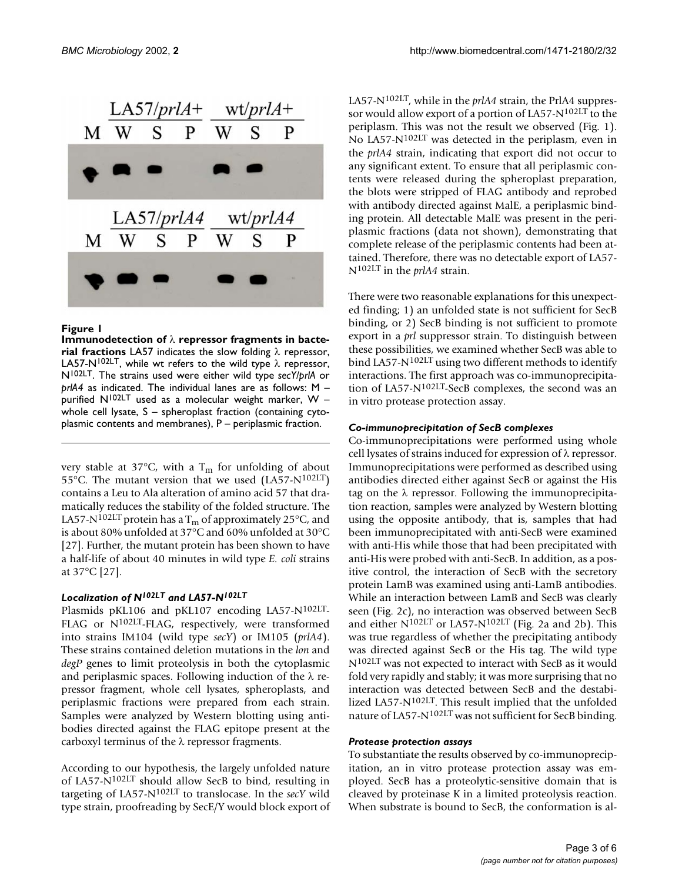

#### **Figure 1**

**Immunodetection of** λ **repressor fragments in bacterial fractions** LA57 indicates the slow folding λ repressor, LA57-N<sup>102LT</sup>, while wt refers to the wild type  $\lambda$  repressor, N102LT. The strains used were either wild type *secY/prlA* or *prlA4* as indicated. The individual lanes are as follows: M – purified  $N^{102LT}$  used as a molecular weight marker, W – whole cell lysate, S - spheroplast fraction (containing cytoplasmic contents and membranes), P – periplasmic fraction.

very stable at 37°C, with a T<sub>m</sub> for unfolding of about 55°C. The mutant version that we used (LA57-N102LT) contains a Leu to Ala alteration of amino acid 57 that dramatically reduces the stability of the folded structure. The LA57-N<sup>102LT</sup> protein has a T<sub>m</sub> of approximately 25 $\rm{^{\circ}C}$ , and is about 80% unfolded at 37°C and 60% unfolded at 30°C [27]. Further, the mutant protein has been shown to have a half-life of about 40 minutes in wild type *E. coli* strains at 37°C [27].

#### *Localization of N102LT and LA57-N102LT*

Plasmids pKL106 and pKL107 encoding LA57-N102LT-FLAG or N102LT-FLAG, respectively, were transformed into strains IM104 (wild type *secY*) or IM105 (*prlA4*). These strains contained deletion mutations in the *lon* and *degP* genes to limit proteolysis in both the cytoplasmic and periplasmic spaces. Following induction of the  $\lambda$  repressor fragment, whole cell lysates, spheroplasts, and periplasmic fractions were prepared from each strain. Samples were analyzed by Western blotting using antibodies directed against the FLAG epitope present at the carboxyl terminus of the λ repressor fragments.

According to our hypothesis, the largely unfolded nature of LA57-N102LT should allow SecB to bind, resulting in targeting of LA57-N102LT to translocase. In the *secY* wild type strain, proofreading by SecE/Y would block export of LA57-N102LT, while in the *prlA4* strain, the PrlA4 suppressor would allow export of a portion of LA57-N102LT to the periplasm. This was not the result we observed (Fig. 1). No LA57-N102LT was detected in the periplasm, even in the *prlA4* strain, indicating that export did not occur to any significant extent. To ensure that all periplasmic contents were released during the spheroplast preparation, the blots were stripped of FLAG antibody and reprobed with antibody directed against MalE, a periplasmic binding protein. All detectable MalE was present in the periplasmic fractions (data not shown), demonstrating that complete release of the periplasmic contents had been attained. Therefore, there was no detectable export of LA57- N102LT in the *prlA4* strain.

There were two reasonable explanations for this unexpected finding; 1) an unfolded state is not sufficient for SecB binding, or 2) SecB binding is not sufficient to promote export in a *prl* suppressor strain. To distinguish between these possibilities, we examined whether SecB was able to bind LA57-N102LT using two different methods to identify interactions. The first approach was co-immunoprecipitation of LA57-N102LT-SecB complexes, the second was an in vitro protease protection assay.

#### *Co-immunoprecipitation of SecB complexes*

Co-immunoprecipitations were performed using whole cell lysates of strains induced for expression of λ repressor. Immunoprecipitations were performed as described using antibodies directed either against SecB or against the His tag on the  $\lambda$  repressor. Following the immunoprecipitation reaction, samples were analyzed by Western blotting using the opposite antibody, that is, samples that had been immunoprecipitated with anti-SecB were examined with anti-His while those that had been precipitated with anti-His were probed with anti-SecB. In addition, as a positive control, the interaction of SecB with the secretory protein LamB was examined using anti-LamB antibodies. While an interaction between LamB and SecB was clearly seen (Fig. [2c](#page-3-0)), no interaction was observed between SecB and either  $N^{102LT}$  $N^{102LT}$  $N^{102LT}$  or LA57- $N^{102LT}$  (Fig. [2a](#page-3-0) and 2b). This was true regardless of whether the precipitating antibody was directed against SecB or the His tag. The wild type N102LT was not expected to interact with SecB as it would fold very rapidly and stably; it was more surprising that no interaction was detected between SecB and the destabilized LA57-N102LT. This result implied that the unfolded nature of LA57-N102LT was not sufficient for SecB binding.

#### *Protease protection assays*

To substantiate the results observed by co-immunoprecipitation, an in vitro protease protection assay was employed. SecB has a proteolytic-sensitive domain that is cleaved by proteinase K in a limited proteolysis reaction. When substrate is bound to SecB, the conformation is al-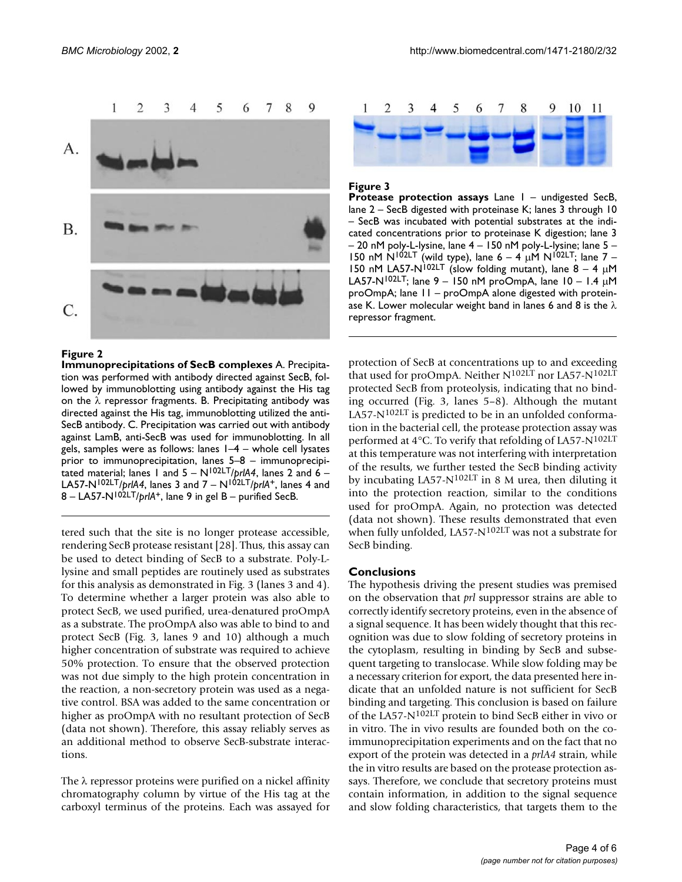

#### <span id="page-3-0"></span>**Figure 2**

**Immunoprecipitations of SecB complexes** A. Precipitation was performed with antibody directed against SecB, followed by immunoblotting using antibody against the His tag on the  $\lambda$  repressor fragments. B. Precipitating antibody was directed against the His tag, immunoblotting utilized the anti-SecB antibody. C. Precipitation was carried out with antibody against LamB, anti-SecB was used for immunoblotting. In all gels, samples were as follows: lanes  $1-4$  – whole cell lysates prior to immunoprecipitation, lanes 5–8 – immunoprecipitated material; lanes 1 and  $5 - N^{102L}$ *prlA4*, lanes 2 and  $6 -$ LA57-N<sup>102LT</sup>/*prlA4*, lanes 3 and  $7 - N^{102LT}/p r I A^{+}$ , lanes 4 and 8 – LA57-N102LT/*prlA*+, lane 9 in gel B – purified SecB.

tered such that the site is no longer protease accessible, rendering SecB protease resistant [28]. Thus, this assay can be used to detect binding of SecB to a substrate. Poly-Llysine and small peptides are routinely used as substrates for this analysis as demonstrated in Fig. 3 (lanes 3 and 4). To determine whether a larger protein was also able to protect SecB, we used purified, urea-denatured proOmpA as a substrate. The proOmpA also was able to bind to and protect SecB (Fig. 3, lanes 9 and 10) although a much higher concentration of substrate was required to achieve 50% protection. To ensure that the observed protection was not due simply to the high protein concentration in the reaction, a non-secretory protein was used as a negative control. BSA was added to the same concentration or higher as proOmpA with no resultant protection of SecB (data not shown). Therefore, this assay reliably serves as an additional method to observe SecB-substrate interactions.

The  $\lambda$  repressor proteins were purified on a nickel affinity chromatography column by virtue of the His tag at the carboxyl terminus of the proteins. Each was assayed for



#### **Figure 3**

**Protease protection assays** Lane 1 – undigested SecB, lane 2 – SecB digested with proteinase K; lanes 3 through 10 – SecB was incubated with potential substrates at the indicated concentrations prior to proteinase K digestion; lane 3 – 20 nM poly-L-lysine, lane 4 – 150 nM poly-L-lysine; lane 5 – 150 nM N<sup>102LT</sup> (wild type), lane  $6 - 4$   $\mu$ M N<sup>102LT</sup>; lane 7 – 150 nM LA57-N<sup>102LT</sup> (slow folding mutant), lane  $8 - 4 \mu$ M LA57-N<sup>102LT</sup>; lane 9 – 150 nM proOmpA, lane 10 – 1.4 µM proOmpA; lane 11 – proOmpA alone digested with proteinase K. Lower molecular weight band in lanes 6 and 8 is the  $\lambda$ repressor fragment.

protection of SecB at concentrations up to and exceeding that used for proOmpA. Neither N102LT nor LA57-N102LT protected SecB from proteolysis, indicating that no binding occurred (Fig. 3, lanes 5–8). Although the mutant LA57-N102LT is predicted to be in an unfolded conformation in the bacterial cell, the protease protection assay was performed at 4°C. To verify that refolding of LA57-N102LT at this temperature was not interfering with interpretation of the results, we further tested the SecB binding activity by incubating LA57-N102LT in 8 M urea, then diluting it into the protection reaction, similar to the conditions used for proOmpA. Again, no protection was detected (data not shown). These results demonstrated that even when fully unfolded, LA57-N102LT was not a substrate for SecB binding.

#### **Conclusions**

The hypothesis driving the present studies was premised on the observation that *prl* suppressor strains are able to correctly identify secretory proteins, even in the absence of a signal sequence. It has been widely thought that this recognition was due to slow folding of secretory proteins in the cytoplasm, resulting in binding by SecB and subsequent targeting to translocase. While slow folding may be a necessary criterion for export, the data presented here indicate that an unfolded nature is not sufficient for SecB binding and targeting. This conclusion is based on failure of the LA57-N102LT protein to bind SecB either in vivo or in vitro. The in vivo results are founded both on the coimmunoprecipitation experiments and on the fact that no export of the protein was detected in a *prlA4* strain, while the in vitro results are based on the protease protection assays. Therefore, we conclude that secretory proteins must contain information, in addition to the signal sequence and slow folding characteristics, that targets them to the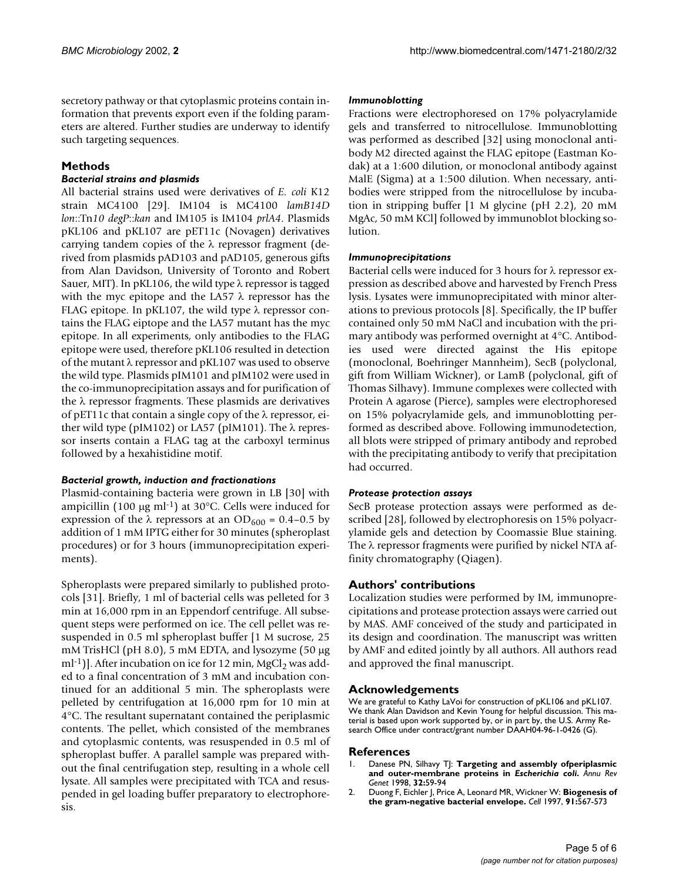secretory pathway or that cytoplasmic proteins contain information that prevents export even if the folding parameters are altered. Further studies are underway to identify such targeting sequences.

## **Methods**

### *Bacterial strains and plasmids*

All bacterial strains used were derivatives of *E. coli* K12 strain MC4100 [29]. IM104 is MC4100 *lamB14D lon*::Tn*10 degP*::*kan* and IM105 is IM104 *prlA4*. Plasmids pKL106 and pKL107 are pET11c (Novagen) derivatives carrying tandem copies of the  $\lambda$  repressor fragment (derived from plasmids pAD103 and pAD105, generous gifts from Alan Davidson, University of Toronto and Robert Sauer, MIT). In pKL106, the wild type λ repressor is tagged with the myc epitope and the LA57  $\lambda$  repressor has the FLAG epitope. In pKL107, the wild type λ repressor contains the FLAG eiptope and the LA57 mutant has the myc epitope. In all experiments, only antibodies to the FLAG epitope were used, therefore pKL106 resulted in detection of the mutant λ repressor and pKL107 was used to observe the wild type. Plasmids pIM101 and pIM102 were used in the co-immunoprecipitation assays and for purification of the  $\lambda$  repressor fragments. These plasmids are derivatives of pET11c that contain a single copy of the λ repressor, either wild type (pIM102) or LA57 (pIM101). The λ repressor inserts contain a FLAG tag at the carboxyl terminus followed by a hexahistidine motif.

#### *Bacterial growth, induction and fractionations*

Plasmid-containing bacteria were grown in LB [30] with ampicillin (100  $\mu$ g ml<sup>-1</sup>) at 30°C. Cells were induced for expression of the  $\lambda$  repressors at an OD<sub>600</sub> = 0.4–0.5 by addition of 1 mM IPTG either for 30 minutes (spheroplast procedures) or for 3 hours (immunoprecipitation experiments).

Spheroplasts were prepared similarly to published protocols [31]. Briefly, 1 ml of bacterial cells was pelleted for 3 min at 16,000 rpm in an Eppendorf centrifuge. All subsequent steps were performed on ice. The cell pellet was resuspended in 0.5 ml spheroplast buffer [1 M sucrose, 25 mM TrisHCl (pH 8.0), 5 mM EDTA, and lysozyme (50 µg ml<sup>-1</sup>)]. After incubation on ice for 12 min,  $MgCl<sub>2</sub>$  was added to a final concentration of 3 mM and incubation continued for an additional 5 min. The spheroplasts were pelleted by centrifugation at 16,000 rpm for 10 min at 4°C. The resultant supernatant contained the periplasmic contents. The pellet, which consisted of the membranes and cytoplasmic contents, was resuspended in 0.5 ml of spheroplast buffer. A parallel sample was prepared without the final centrifugation step, resulting in a whole cell lysate. All samples were precipitated with TCA and resuspended in gel loading buffer preparatory to electrophoresis.

#### *Immunoblotting*

Fractions were electrophoresed on 17% polyacrylamide gels and transferred to nitrocellulose. Immunoblotting was performed as described [32] using monoclonal antibody M2 directed against the FLAG epitope (Eastman Kodak) at a 1:600 dilution, or monoclonal antibody against MalE (Sigma) at a 1:500 dilution. When necessary, antibodies were stripped from the nitrocellulose by incubation in stripping buffer [1 M glycine (pH 2.2), 20 mM MgAc, 50 mM KCl] followed by immunoblot blocking solution.

#### *Immunoprecipitations*

Bacterial cells were induced for 3 hours for λ repressor expression as described above and harvested by French Press lysis. Lysates were immunoprecipitated with minor alterations to previous protocols [8]. Specifically, the IP buffer contained only 50 mM NaCl and incubation with the primary antibody was performed overnight at 4°C. Antibodies used were directed against the His epitope (monoclonal, Boehringer Mannheim), SecB (polyclonal, gift from William Wickner), or LamB (polyclonal, gift of Thomas Silhavy). Immune complexes were collected with Protein A agarose (Pierce), samples were electrophoresed on 15% polyacrylamide gels, and immunoblotting performed as described above. Following immunodetection, all blots were stripped of primary antibody and reprobed with the precipitating antibody to verify that precipitation had occurred.

#### *Protease protection assays*

SecB protease protection assays were performed as described [28], followed by electrophoresis on 15% polyacrylamide gels and detection by Coomassie Blue staining. The λ repressor fragments were purified by nickel NTA affinity chromatography (Qiagen).

## **Authors' contributions**

Localization studies were performed by IM, immunoprecipitations and protease protection assays were carried out by MAS. AMF conceived of the study and participated in its design and coordination. The manuscript was written by AMF and edited jointly by all authors. All authors read and approved the final manuscript.

#### **Acknowledgements**

We are grateful to Kathy LaVoi for construction of pKL106 and pKL107. We thank Alan Davidson and Kevin Young for helpful discussion. This material is based upon work supported by, or in part by, the U.S. Army Research Office under contract/grant number DAAH04-96-1-0426 (G).

#### **References**

- 1. [Danese PN, Silhavy TJ:](http://www.ncbi.nlm.nih.gov/entrez/query.fcgi?cmd=Retrieve&db=PubMed&dopt=Abstract&list_uids=9928475) **Targeting and assembly ofperiplasmic and outer-membrane proteins in** *Escherichia coli***[.](http://www.ncbi.nlm.nih.gov/entrez/query.fcgi?cmd=Retrieve&db=PubMed&dopt=Abstract&list_uids=9928475)** *Annu Rev Genet* 1998, **32:**59-94
- 2. [Duong F, Eichler J, Price A, Leonard MR, Wickner W:](http://www.ncbi.nlm.nih.gov/entrez/query.fcgi?cmd=Retrieve&db=PubMed&dopt=Abstract&list_uids=9393850) **[Biogenesis of](http://www.ncbi.nlm.nih.gov/entrez/query.fcgi?cmd=Retrieve&db=PubMed&dopt=Abstract&list_uids=9393850) [the gram-negative bacterial envelope.](http://www.ncbi.nlm.nih.gov/entrez/query.fcgi?cmd=Retrieve&db=PubMed&dopt=Abstract&list_uids=9393850)** *Cell* 1997, **91:**567-573